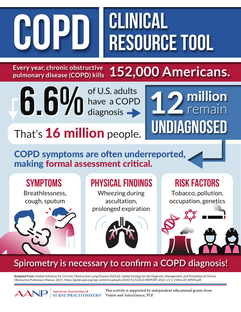**COPD CLINICAL** 

**6.6%**

## **Resource TOOL**

12 million

**Undiagnosed**

remain

Every year, chronic obstructive **152,000 Americans. Every year, chronic obstructive pulmonary disease (COPD) kills**

of U.S. adults

have a COPD

That's 16 million people.

### COPD symptoms are often underreported,

diagnosis

#### making formal assessment critical.

**American Association of** 



#### Spirometry is necessary to confirm a COPD diagnosis!

Pulmonary Function Tests (PFTs) **Adapted from:** Global Initiative for Chronic Obstructive Lung Disease (GOLD). *Global Strategy for the Diagnosis, Management, and Prevention of Chronic Obstructive Pulmonary Disease*. 2021. https://goldcopd.org/wp-content/uploads/2020/11/GOLD-REPORT-2021-v1.1-25Nov20\_WMV.pdf.

> **This activity is supported by independent educational grants from NURSE PRACTITIONERS® Viatris and AstraZeneca, PLP.**